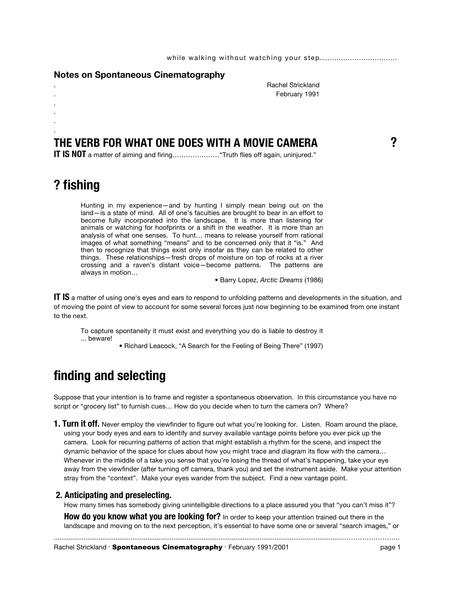#### **Notes on Spontaneous Cinematography**

. Rachel Strickland . February 1991

### **THE VERB FOR WHAT ONE DOES WITH A MOVIE CAMERA ?**

**IT IS NOT** a matter of aiming and firing…………………"Truth flies off again, uninjured."

## **? fishing**

. . . .

> Hunting in my experience—and by hunting I simply mean being out on the land—is a state of mind. All of one's faculties are brought to bear in an effort to become fully incorporated into the landscape. It is more than listening for animals or watching for hoofprints or a shift in the weather. It is more than an analysis of what one senses. To hunt… means to release yourself from rational images of what something "means" and to be concerned only that it "is." And then to recognize that things exist only insofar as they can be related to other things. These relationships—fresh drops of moisture on top of rocks at a river crossing and a raven's distant voice—become patterns. The patterns are always in motion…

> > • Barry Lopez, *Arctic Dreams* (1986)

**IT IS** a matter of using one's eyes and ears to respond to unfolding patterns and developments in the situation, and of moving the point of view to account for some several forces just now beginning to be examined from one instant to the next.

To capture spontaneity it must exist and everything you do is liable to destroy it ... beware!

• Richard Leacock, "A Search for the Feeling of Being There" (1997)

# **finding and selecting**

Suppose that your intention is to frame and register a spontaneous observation. In this circumstance you have no script or "grocery list" to furnish cues… How do you decide when to turn the camera on? Where?

**1. Turn it off.** Never employ the viewfinder to figure out what you're looking for. Listen. Roam around the place, using your body eyes and ears to identify and survey available vantage points before you ever pick up the camera. Look for recurring patterns of action that might establish a rhythm for the scene, and inspect the dynamic behavior of the space for clues about how you might trace and diagram its flow with the camera… Whenever in the middle of a take you sense that you're losing the thread of what's happening, take your eye away from the viewfinder (after turning off camera, thank you) and set the instrument aside. Make your attention stray from the "context". Make your eyes wander from the subject. Find a new vantage point.

#### **2. Anticipating and preselecting.**

How many times has somebody giving unintelligible directions to a place assured you that "you can't miss it"?

**How do you know what you are looking for?** In order to keep your attention trained out there in the landscape and moving on to the next perception, it's essential to have some one or several "search images," or

..........................................................................................................................................................……………………..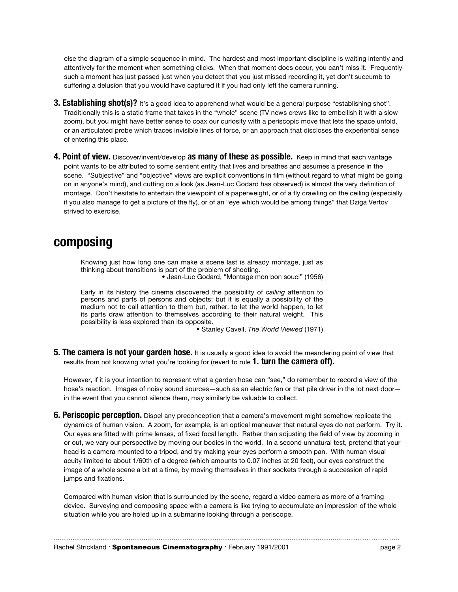else the diagram of a simple sequence in mind. The hardest and most important discipline is waiting intently and attentively for the moment when something clicks. When that moment does occur, you can't miss it. Frequently such a moment has just passed just when you detect that you just missed recording it, yet don't succumb to suffering a delusion that you would have captured it if you had only left the camera running.

- **3. Establishing shot(s)?** It's a good idea to apprehend what would be a general purpose "establishing shot". Traditionally this is a static frame that takes in the "whole" scene (TV news crews like to embellish it with a slow zoom), but you might have better sense to coax our curiosity with a periscopic move that lets the space unfold, or an articulated probe which traces invisible lines of force, or an approach that discloses the experiential sense of entering this place.
- **4. Point of view.** Discover/invent/develop **as many of these as possible.** Keep in mind that each vantage point wants to be attributed to some sentient entity that lives and breathes and assumes a presence in the scene. "Subjective" and "objective" views are explicit conventions in film (without regard to what might be going on in anyone's mind), and cutting on a look (as Jean-Luc Godard has observed) is almost the very definition of montage. Don't hesitate to entertain the viewpoint of a paperweight, or of a fly crawling on the ceiling (especially if you also manage to get a picture of the fly), or of an "eye which would be among things" that Dziga Vertov strived to exercise.

## **composing**

Knowing just how long one can make a scene last is already montage, just as thinking about transitions is part of the problem of shooting. • Jean-Luc Godard, "Montage mon bon souci" (1956)

Early in its history the cinema discovered the possibility of *calling* attention to persons and parts of persons and objects; but it is equally a possibility of the medium not to call attention to them but, rather, to let the world happen, to let its parts draw attention to themselves according to their natural weight. This possibility is less explored than its opposite.

• Stanley Cavell, *The World Viewed* (1971)

**5. The camera is not your garden hose.** It is usually a good idea to avoid the meandering point of view that results from not knowing what you're looking for (revert to rule **1. turn the camera off).**

However, if it is your intention to represent what a garden hose can "see," do remember to record a view of the hose's reaction. Images of noisy sound sources—such as an electric fan or that pile driver in the lot next door in the event that you cannot silence them, may similarly be valuable to collect.

**6. Periscopic perception.** Dispel any preconception that a camera's movement might somehow replicate the dynamics of human vision. A zoom, for example, is an optical maneuver that natural eyes do not perform. Try it. Our eyes are fitted with prime lenses, of fixed focal length. Rather than adjusting the field of view by zooming in or out, we vary our perspective by moving our bodies in the world. In a second unnatural test, pretend that your head is a camera mounted to a tripod, and try making your eyes perform a smooth pan. With human visual acuity limited to about 1/60th of a degree (which amounts to 0.07 inches at 20 feet), our eyes construct the image of a whole scene a bit at a time, by moving themselves in their sockets through a succession of rapid jumps and fixations.

Compared with human vision that is surrounded by the scene, regard a video camera as more of a framing device. Surveying and composing space with a camera is like trying to accumulate an impression of the whole situation while you are holed up in a submarine looking through a periscope.

..........................................................................................................................................................……………………..